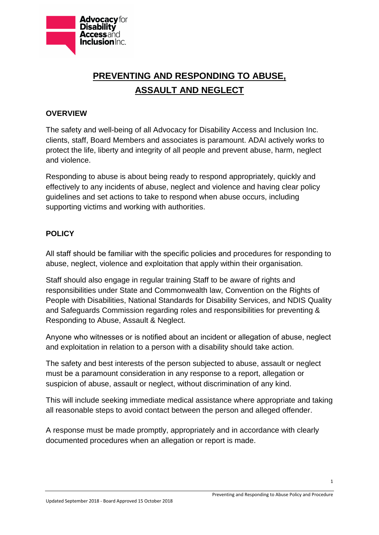

## **PREVENTING AND RESPONDING TO ABUSE, ASSAULT AND NEGLECT**

## **OVERVIEW**

The safety and well-being of all Advocacy for Disability Access and Inclusion Inc. clients, staff, Board Members and associates is paramount. ADAI actively works to protect the life, liberty and integrity of all people and prevent abuse, harm, neglect and violence.

Responding to abuse is about being ready to respond appropriately, quickly and effectively to any incidents of abuse, neglect and violence and having clear policy guidelines and set actions to take to respond when abuse occurs, including supporting victims and working with authorities.

## **POLICY**

All staff should be familiar with the specific policies and procedures for responding to abuse, neglect, violence and exploitation that apply within their organisation.

Staff should also engage in regular training Staff to be aware of rights and responsibilities under State and Commonwealth law, Convention on the Rights of People with Disabilities, National Standards for Disability Services, and NDIS Quality and Safeguards Commission regarding roles and responsibilities for preventing & Responding to Abuse, Assault & Neglect.

Anyone who witnesses or is notified about an incident or allegation of abuse, neglect and exploitation in relation to a person with a disability should take action.

The safety and best interests of the person subjected to abuse, assault or neglect must be a paramount consideration in any response to a report, allegation or suspicion of abuse, assault or neglect, without discrimination of any kind.

This will include seeking immediate medical assistance where appropriate and taking all reasonable steps to avoid contact between the person and alleged offender.

A response must be made promptly, appropriately and in accordance with clearly documented procedures when an allegation or report is made.

1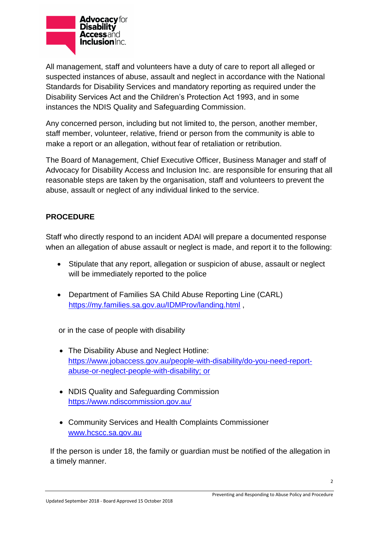

All management, staff and volunteers have a duty of care to report all alleged or suspected instances of abuse, assault and neglect in accordance with the National Standards for Disability Services and mandatory reporting as required under the Disability Services Act and the Children's Protection Act 1993, and in some instances the NDIS Quality and Safeguarding Commission.

Any concerned person, including but not limited to, the person, another member, staff member, volunteer, relative, friend or person from the community is able to make a report or an allegation, without fear of retaliation or retribution.

The Board of Management, Chief Executive Officer, Business Manager and staff of Advocacy for Disability Access and Inclusion Inc. are responsible for ensuring that all reasonable steps are taken by the organisation, staff and volunteers to prevent the abuse, assault or neglect of any individual linked to the service.

## **PROCEDURE**

Staff who directly respond to an incident ADAI will prepare a documented response when an allegation of abuse assault or neglect is made, and report it to the following:

- Stipulate that any report, allegation or suspicion of abuse, assault or neglect will be immediately reported to the police
- Department of Families SA Child Abuse Reporting Line (CARL) <https://my.families.sa.gov.au/IDMProv/landing.html>

or in the case of people with disability

- The Disability Abuse and Neglect Hotline: [https://www.jobaccess.gov.au/people-with-disability/do-you-need-report](https://www.jobaccess.gov.au/people-with-disability/do-you-need-report-abuse-or-neglect-people-with-disability)[abuse-or-neglect-people-with-disability;](https://www.jobaccess.gov.au/people-with-disability/do-you-need-report-abuse-or-neglect-people-with-disability) or
- NDIS Quality and Safeguarding Commission <https://www.ndiscommission.gov.au/>
- Community Services and Health Complaints Commissioner [www.hcscc.sa.gov.au](http://www.hcscc.sa.gov.au/)

 If the person is under 18, the family or guardian must be notified of the allegation in a timely manner.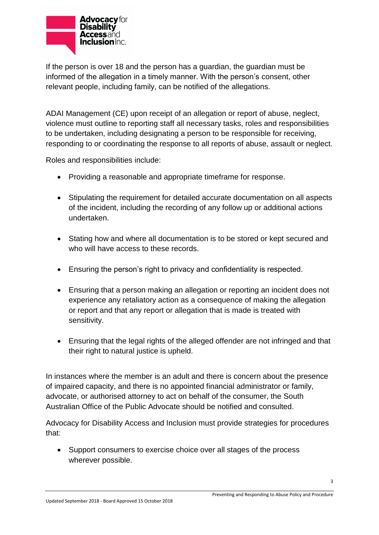

If the person is over 18 and the person has a guardian, the guardian must be informed of the allegation in a timely manner. With the person's consent, other relevant people, including family, can be notified of the allegations.

ADAI Management (CE) upon receipt of an allegation or report of abuse, neglect, violence must outline to reporting staff all necessary tasks, roles and responsibilities to be undertaken, including designating a person to be responsible for receiving, responding to or coordinating the response to all reports of abuse, assault or neglect.

Roles and responsibilities include:

- Providing a reasonable and appropriate timeframe for response.
- Stipulating the requirement for detailed accurate documentation on all aspects of the incident, including the recording of any follow up or additional actions undertaken.
- Stating how and where all documentation is to be stored or kept secured and who will have access to these records.
- Ensuring the person's right to privacy and confidentiality is respected.
- Ensuring that a person making an allegation or reporting an incident does not experience any retaliatory action as a consequence of making the allegation or report and that any report or allegation that is made is treated with sensitivity.
- Ensuring that the legal rights of the alleged offender are not infringed and that their right to natural justice is upheld.

In instances where the member is an adult and there is concern about the presence of impaired capacity, and there is no appointed financial administrator or family, advocate, or authorised attorney to act on behalf of the consumer, the South Australian Office of the Public Advocate should be notified and consulted.

Advocacy for Disability Access and Inclusion must provide strategies for procedures that:

 Support consumers to exercise choice over all stages of the process wherever possible.